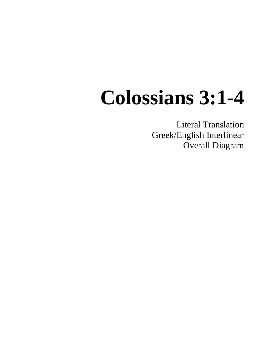## **Colossians 3:1-4**

Literal Translation Greek/English Interlinear Overall Diagram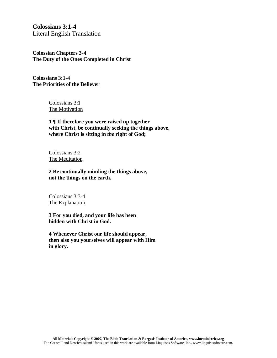**Colossians 3:1-4** Literal English Translation

**Colossian Chapters 3-4 The Duty of the Ones Completed in Christ**

**Colossians 3:1-4 The Priorities of the Believer**

> Colossians 3:1 The Motivation

**1 ¶ If therefore you were raised up together with Christ, be continually seeking the things above, where Christ is sitting in** *the* **right of God;**

Colossians 3:2 The Meditation

**2 Be continually minding the things above, not the things on the earth.**

Colossians 3:3-4 The Explanation

**3 For you died, and your life has been hidden with Christ in God.**

**4 Whenever Christ our life should appear, then also you yourselves will appear with Him in glory.**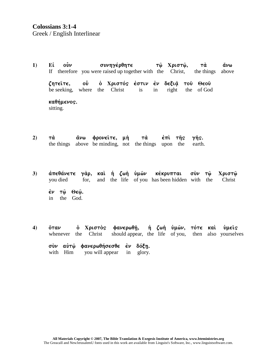- $1)$ Ei  $\mathbf{0}\mathbf{v}$ συνηγέρθητε  $\ddot{\alpha}\nu\omega$ τώ Χριστώ. тὰ If therefore you were raised up together with the Christ, the things above ζητείτε,  $\mathbf{O} \mathbf{\hat{v}}$ ο Χριστός έστιν έν δεξιά του Θεου be seeking, where the Christ is in right the of God καθήμενος. sitting.
- άνω φρονείτε, μή  $2)$ тά тά  $\dot{\epsilon}$  $\pi$ *i*  $\tau$  $\hat{n}$ s γῆς. the things above be minding, not the things upon the earth.
- άπεθάνετε γὰρ, καὶ ἡ ζωὴ ὑμῶν κέκρυπται σὺν τῶ  $3)$ **Χριστώ** and the life of you has been hidden with the vou died for. Christ  $\dot{\epsilon}$ ν τω̂ Θεω̂. in the God.
- ή ζωή ύμών, τότε καί ό Χριστὸς φανερωθῆ,  $4)$ ὄταν νωείς should appear, the life of you, whenever the Christ then also yourselves σὺν αὐτῷ φανερωθήσεσθε ἐν δόξη.

with Him you will appear  $in$ glory.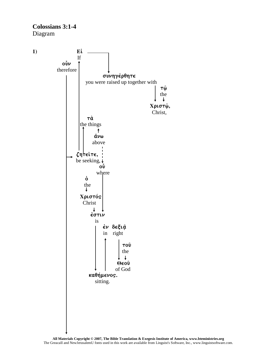**Colossians 3:1-4** Diagram

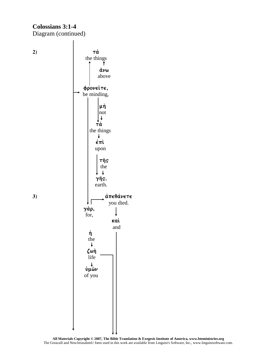## **Colossians 3:1-4** Diagram (continued)



**All Materials Copyright © 2007, The Bible Translation & Exegesis Institute of America, www.bteministries.org** The GreacaII and NewJerusalemU fonts used in this work are available from Linguist's Software, Inc., www.linguistsoftware.com.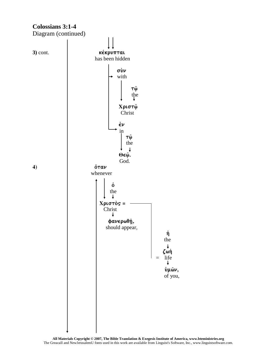

All Materials Copyright  $@$  2007, The Bible Translation & Exegesis Institute of America, www.bteministries.org The GreacaII and NewJerusalemU fonts used in this work are available from Linguist's Software, Inc., www.linguistsoftware.com.